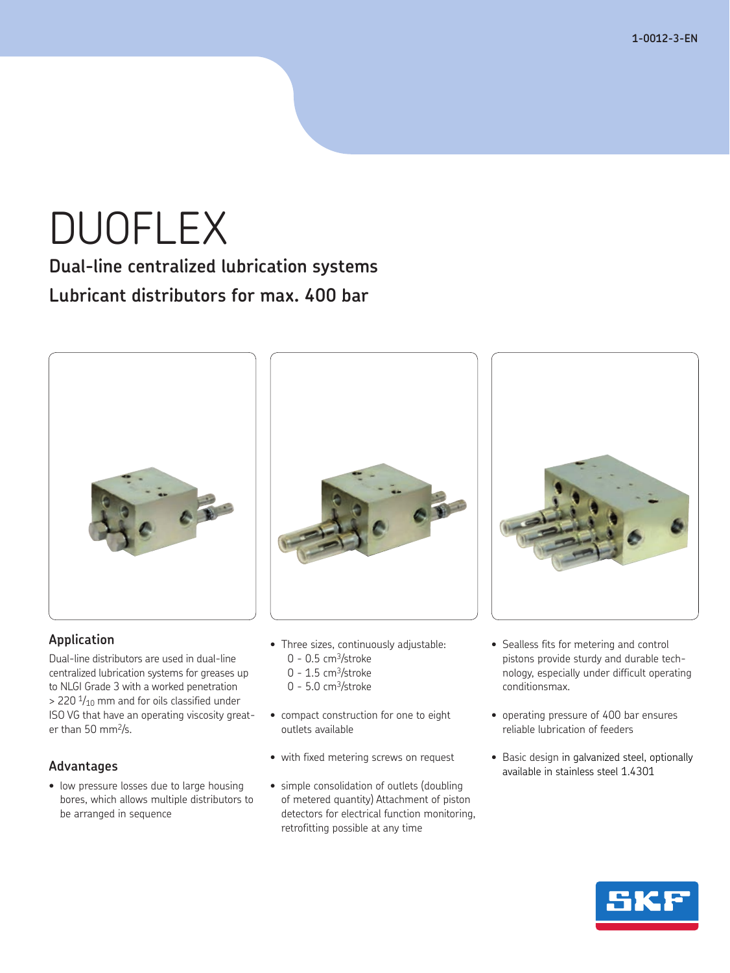**1-0012-3-EN 1-0358-US**

# DUOFLEX

**Dual-line centralized lubrication systems Lubricant distributors for max. 400 bar**



### **Application**

Dual-line distributors are used in dual-line centralized lubrication systems for greases up to NLGI Grade 3 with a worked penetration  $>$  220  $\frac{1}{10}$  mm and for oils classified under ISO VG that have an operating viscosity greater than 50 mm2/s.

### **Advantages**

• low pressure losses due to large housing bores, which allows multiple distributors to be arranged in sequence



- Three sizes, continuously adjustable:  $0 - 0.5$  cm<sup>3</sup>/stroke
	- $0 1.5$  cm<sup>3</sup>/stroke
	- $0 5.0$  cm<sup>3</sup>/stroke
- • compact construction for one to eight outlets available
- • with fixed metering screws on request
- simple consolidation of outlets (doubling of metered quantity) Attachment of piston detectors for electrical function monitoring, retrofitting possible at any time



- Sealless fits for metering and control pistons provide sturdy and durable technology, especially under difficult operating conditionsmax.
- • operating pressure of 400 bar ensures reliable lubrication of feeders
- • Basic design in galvanized steel, optionally available in stainless steel 1.4301

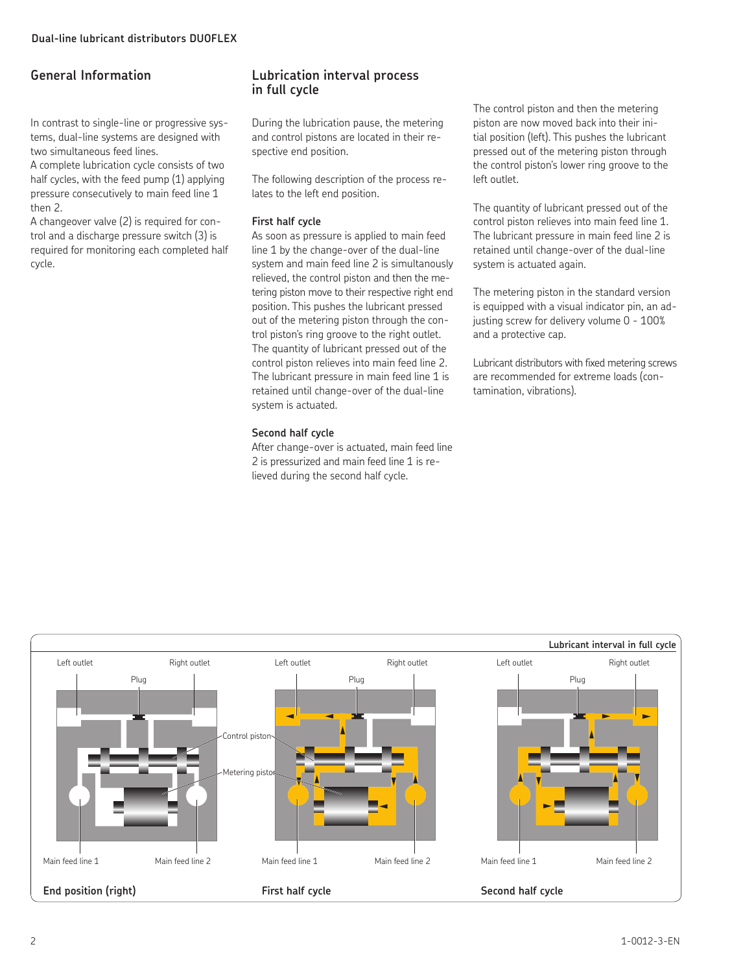### **General Information**

In contrast to single-line or progressive systems, dual-line systems are designed with two simultaneous feed lines.

A complete lubrication cycle consists of two half cycles, with the feed pump (1) applying pressure consecutively to main feed line 1 then 2.

A changeover valve (2) is required for control and a discharge pressure switch (3) is required for monitoring each completed half cycle.

### **Lubrication interval process in full cycle**

During the lubrication pause, the metering and control pistons are located in their respective end position.

The following description of the process relates to the left end position.

### **First half cycle**

As soon as pressure is applied to main feed line 1 by the change-over of the dual-line system and main feed line 2 is simultanously relieved, the control piston and then the metering piston move to their respective right end position. This pushes the lubricant pressed out of the metering piston through the control piston's ring groove to the right outlet. The quantity of lubricant pressed out of the control piston relieves into main feed line 2. The lubricant pressure in main feed line 1 is retained until change-over of the dual-line system is actuated.

### **Second half cycle**

After change-over is actuated, main feed line 2 is pressurized and main feed line 1 is relieved during the second half cycle.

The control piston and then the metering piston are now moved back into their initial position (left). This pushes the lubricant pressed out of the metering piston through the control piston's lower ring groove to the left outlet.

The quantity of lubricant pressed out of the control piston relieves into main feed line 1. The lubricant pressure in main feed line 2 is retained until change-over of the dual-line system is actuated again.

The metering piston in the standard version is equipped with a visual indicator pin, an adjusting screw for delivery volume 0 - 100% and a protective cap.

Lubricant distributors with fixed metering screws are recommended for extreme loads (contamination, vibrations).

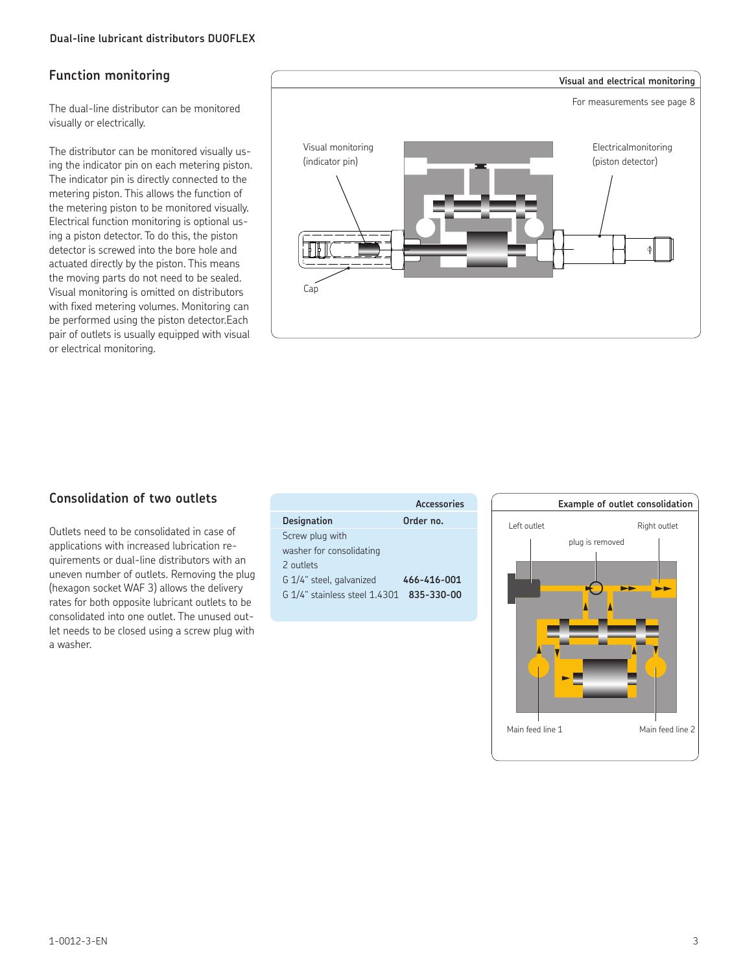### **Function monitoring**

The dual-line distributor can be monitored visually or electrically.

The distributor can be monitored visually using the indicator pin on each metering piston. The indicator pin is directly connected to the metering piston. This allows the function of the metering piston to be monitored visually. Electrical function monitoring is optional using a piston detector. To do this, the piston detector is screwed into the bore hole and actuated directly by the piston. This means the moving parts do not need to be sealed. Visual monitoring is omitted on distributors with fixed metering volumes. Monitoring can be performed using the piston detector.Each pair of outlets is usually equipped with visual or electrical monitoring.



Outlets need to be consolidated in case of applications with increased lubrication requirements or dual-line distributors with an uneven number of outlets. Removing the plug (hexagon socket WAF 3) allows the delivery rates for both opposite lubricant outlets to be consolidated into one outlet. The unused outlet needs to be closed using a screw plug with a washer.

|                               | Accessories |
|-------------------------------|-------------|
| <b>Designation</b>            | Order no.   |
| Screw plug with               |             |
| washer for consolidating      |             |
| 2 outlets                     |             |
| G 1/4" steel, galvanized      | 466-416-001 |
| G 1/4" stainless steel 1.4301 | 835-330-00  |
|                               |             |

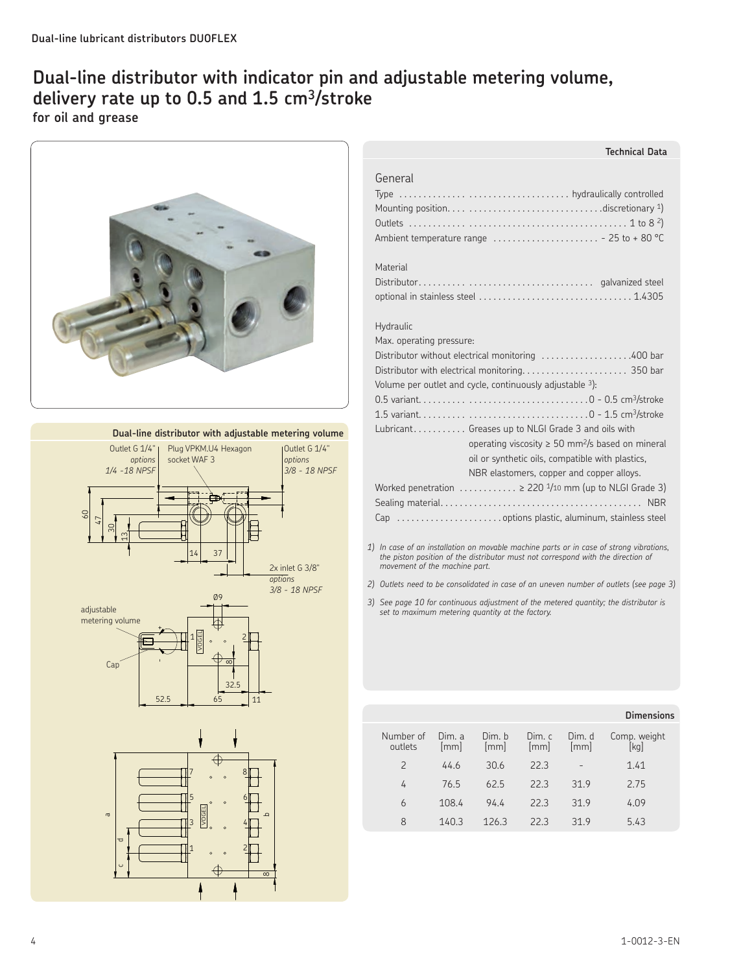### **Dual-line distributor with indicator pin and adjustable metering volume, delivery rate up to 0.5 and 1.5 cm3/stroke for oil and grease**



**Dual-line distributor with adjustable metering volume**



2

#

ع

 $\infty$ 

E>64;

 $\mathbf{1}$ 

ರ<br>U

 $\sigma$ 

3

\$

%

| General<br>Ambient temperature range $\ldots \ldots \ldots \ldots \ldots \ldots \ldots$ - 25 to + 80 °C                                                                                                                  |
|--------------------------------------------------------------------------------------------------------------------------------------------------------------------------------------------------------------------------|
| Material                                                                                                                                                                                                                 |
| Hydraulic<br>Max. operating pressure:                                                                                                                                                                                    |
| Distributor without electrical monitoring 400 bar<br>Volume per outlet and cycle, continuously adjustable 3):                                                                                                            |
|                                                                                                                                                                                                                          |
| Lubricant Greases up to NLGI Grade 3 and oils with<br>operating viscosity $\geq 50$ mm <sup>2</sup> /s based on mineral<br>oil or synthetic oils, compatible with plastics,<br>NBR elastomers, copper and copper alloys. |
| Worked penetration $\ldots \ldots \ldots$ > 220 $\frac{1}{10}$ mm (up to NLGI Grade 3)                                                                                                                                   |
|                                                                                                                                                                                                                          |
| 1) In case of an installation on movable machine parts or in case of strong vibrations,<br>the piston position of the distributor must not correspond with the direction of<br>movement of the machine part.             |

**Technical Data**

- *2) Outlets need to be consolidated in case of an uneven number of outlets (see page 3)*
- *3) See page 10 for continuous adjustment of the metered quantity; the distributor is set to maximum metering quantity at the factory.*

|                      |                              |                |                |                | <b>Dimensions</b>    |
|----------------------|------------------------------|----------------|----------------|----------------|----------------------|
| Number of<br>outlets | Dim. a<br>$\lceil mm \rceil$ | Dim. b<br>[mm] | Dim. c<br>[mm] | Dim. d<br>[mm] | Comp. weight<br>[kg] |
| $\overline{2}$       | 44.6                         | 30.6           | 223            | -              | 1.41                 |
| 4                    | 76.5                         | 625            | 223            | 319            | 2.75                 |
| 6                    | 108.4                        | 944            | 223            | 319            | 4.09                 |
| 8                    | 140.3                        | 126.3          | 223            | 319            | 5.43                 |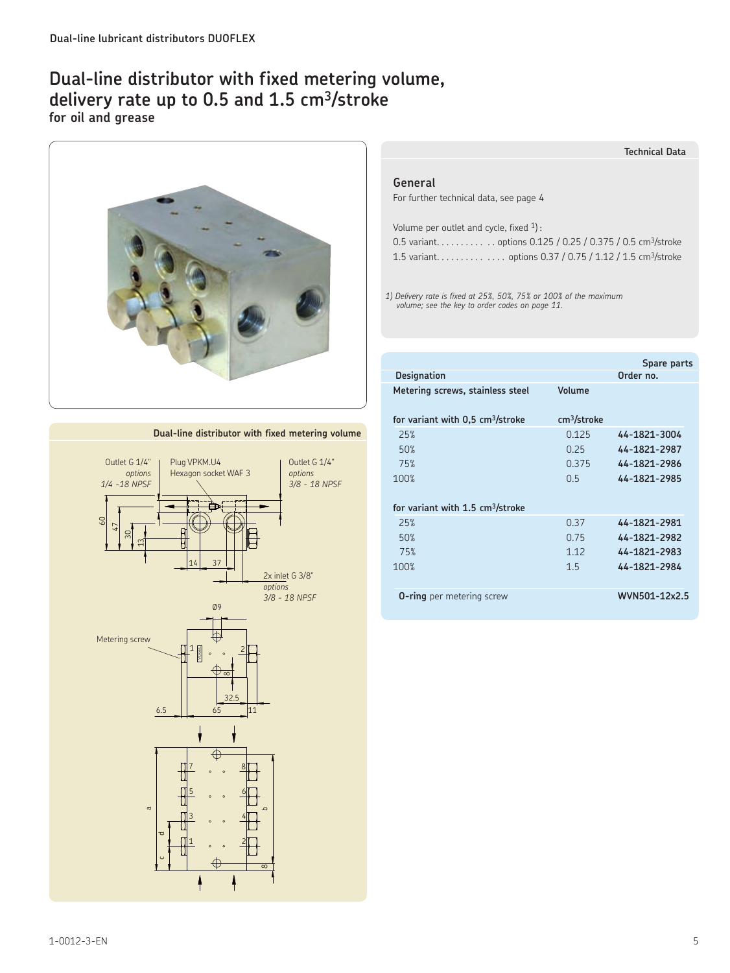### **Dual-line distributor with fixed metering volume, delivery rate up to 0.5 and 1.5 cm3/stroke for oil and grease**



### **Dual-line distributor with fixed metering volume**



#### **Technical Data**

#### **General**

For further technical data, see page 4

| Volume per outlet and cycle, fixed $1$ : |                                                                       |
|------------------------------------------|-----------------------------------------------------------------------|
|                                          | 0.5 variantoptions 0.125 / 0.25 / 0.375 / 0.5 cm <sup>3</sup> /stroke |
|                                          |                                                                       |

*1) Delivery rate is fixed at 25%, 50%, 75% or 100% of the maximum volume; see the key to order codes on page 11.*

|                                              |                         | Spare parts   |
|----------------------------------------------|-------------------------|---------------|
| <b>Designation</b>                           |                         | Order no.     |
| Metering screws, stainless steel             | Volume                  |               |
| for variant with 0.5 cm <sup>3</sup> /stroke | cm <sup>3</sup> /stroke |               |
| 25%                                          | 0125                    | 44-1821-3004  |
| 50%                                          | 0.25                    | 44-1821-2987  |
| 75%                                          | 0.375                   | 44-1821-2986  |
| 100%                                         | 0 <sub>5</sub>          | 44-1821-2985  |
| for variant with 1.5 cm <sup>3</sup> /stroke |                         |               |
| 25%                                          | 0.37                    | 44-1821-2981  |
| 50%                                          | 0.75                    | 44-1821-2982  |
| 75%                                          | 1 1 2                   | 44-1821-2983  |
| 100%                                         | 15                      | 44-1821-2984  |
|                                              |                         |               |
| <b>O-ring</b> per metering screw             |                         | WVN501-12x2.5 |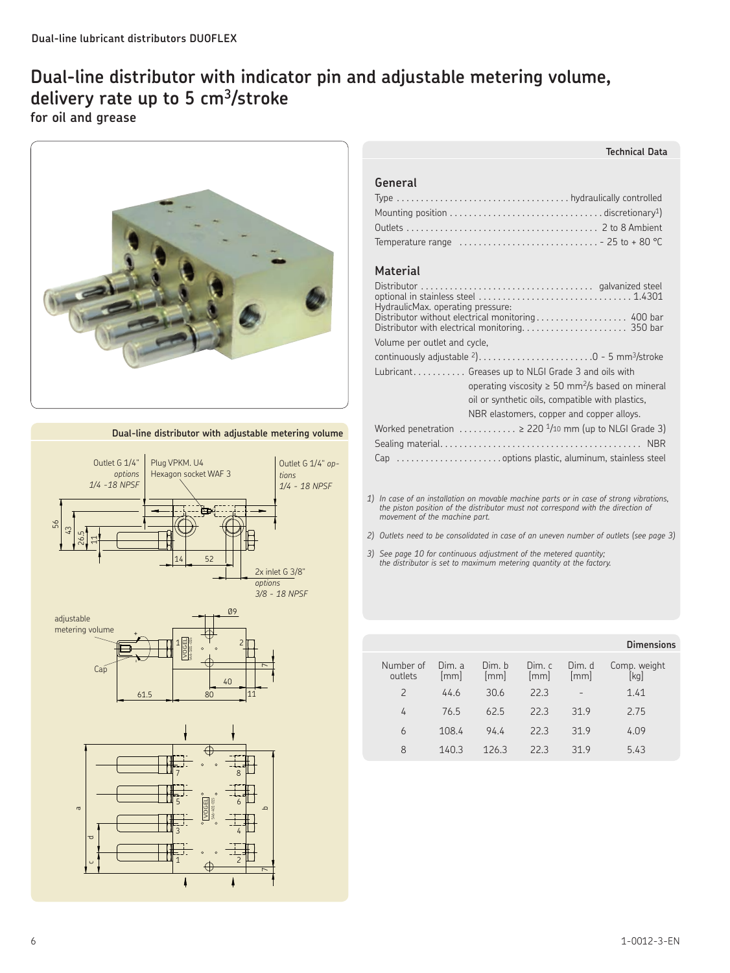### **Dual-line distributor with indicator pin and adjustable metering volume, delivery rate up to 5 cm3/stroke for oil and grease**



**Dual-line distributor with adjustable metering volume**







### **Technical Data**

### **General**

| Temperature range $\ldots \ldots \ldots \ldots \ldots \ldots \ldots \ldots \ldots -25$ to +80 °C |  |
|--------------------------------------------------------------------------------------------------|--|

### **Material**

| HydraulicMax. operating pressure: | Distributor without electrical monitoring 400 bar<br>Distributor with electrical monitoring 350 bar |  |
|-----------------------------------|-----------------------------------------------------------------------------------------------------|--|
| Volume per outlet and cycle,      |                                                                                                     |  |
|                                   | continuously adjustable $2)$ 0 - 5 mm <sup>3</sup> /stroke                                          |  |
|                                   | Lubricant Greases up to NLGI Grade 3 and oils with                                                  |  |
|                                   | operating viscosity $\geq 50$ mm <sup>2</sup> /s based on mineral                                   |  |
|                                   | oil or synthetic oils, compatible with plastics,                                                    |  |
|                                   | NBR elastomers, copper and copper alloys.                                                           |  |
|                                   | Worked penetration $\ldots \ldots \ldots$ > 220 $\frac{1}{10}$ mm (up to NLGI Grade 3)              |  |
|                                   |                                                                                                     |  |
|                                   |                                                                                                     |  |

*1) In case of an installation on movable machine parts or in case of strong vibrations, the piston position of the distributor must not correspond with the direction of movement of the machine part.*

- *2) Outlets need to be consolidated in case of an uneven number of outlets (see page 3)*
- *3) See page 10 for continuous adjustment of the metered quantity; the distributor is set to maximum metering quantity at the factory.*

|                      |                |                |                |                | <b>Dimensions</b>    |
|----------------------|----------------|----------------|----------------|----------------|----------------------|
| Number of<br>outlets | Dim. a<br>[mm] | Dim. b<br>[mm] | Dim. c<br>[mm] | Dim. d<br>[mm] | Comp. weight<br>[kg] |
| $\overline{2}$       | 44.6           | 30.6           | 22.3           |                | 1.41                 |
| 4                    | 76.5           | 625            | 223            | 319            | 2.75                 |
| 6                    | 108.4          | 94.4           | 223            | 319            | 4.09                 |
| 8                    | 140.3          | 126.3          | 223            | 319            | 5.43                 |
|                      |                |                |                |                |                      |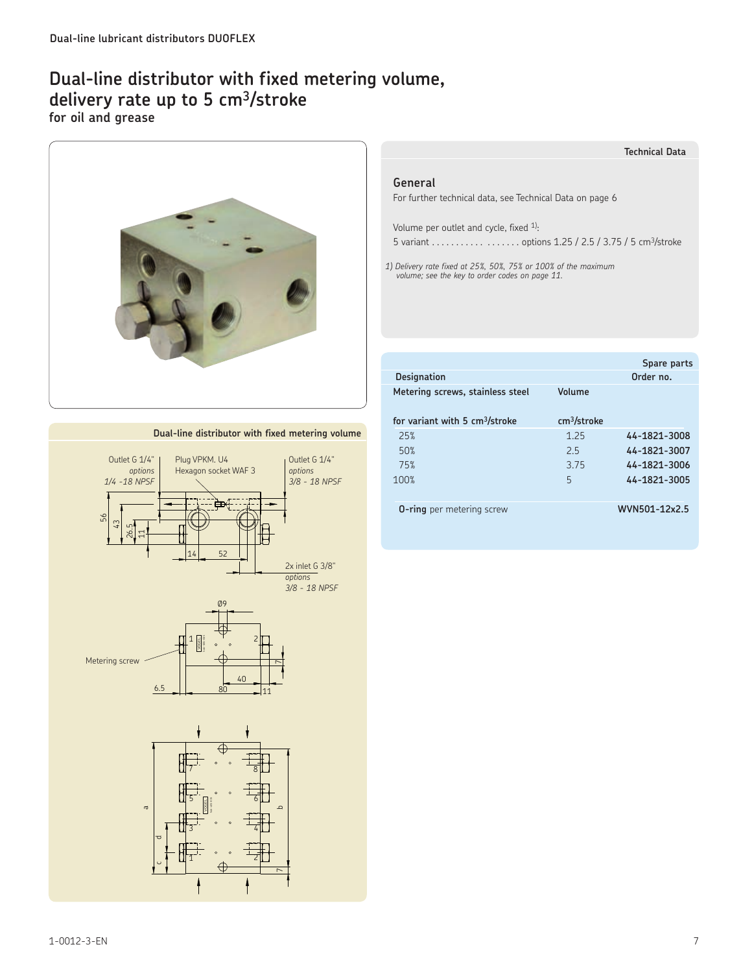### **Dual-line distributor with fixed metering volume, delivery rate up to 5 cm3/stroke for oil and grease**



### **Technical Data**

### **General**

For further technical data, see Technical Data on page 6

Volume per outlet and cycle, fixed <sup>1)</sup>:

5 variant. . . . . . . . . . options 1.25 / 2.5 / 3.75 / 5 cm3/stroke

*1) Delivery rate fixed at 25%, 50%, 75% or 100% of the maximum volume; see the key to order codes on page 11.*

|                                            |                         | Spare parts  |
|--------------------------------------------|-------------------------|--------------|
| <b>Designation</b>                         |                         | Order no.    |
| Metering screws, stainless steel           | Volume                  |              |
| for variant with 5 cm <sup>3</sup> /stroke | cm <sup>3</sup> /stroke |              |
| 25%                                        | 1 25                    | 44-1821-3008 |
| 50%                                        | 25                      | 44-1821-3007 |
| 75%                                        | 375                     | 44-1821-3006 |
| 100%                                       | 5                       | 44-1821-3005 |
|                                            |                         |              |
|                                            |                         |              |

**O-ring** per metering screw **WVN501-12x2.5** 



### **Dual-line distributor with fixed metering volume**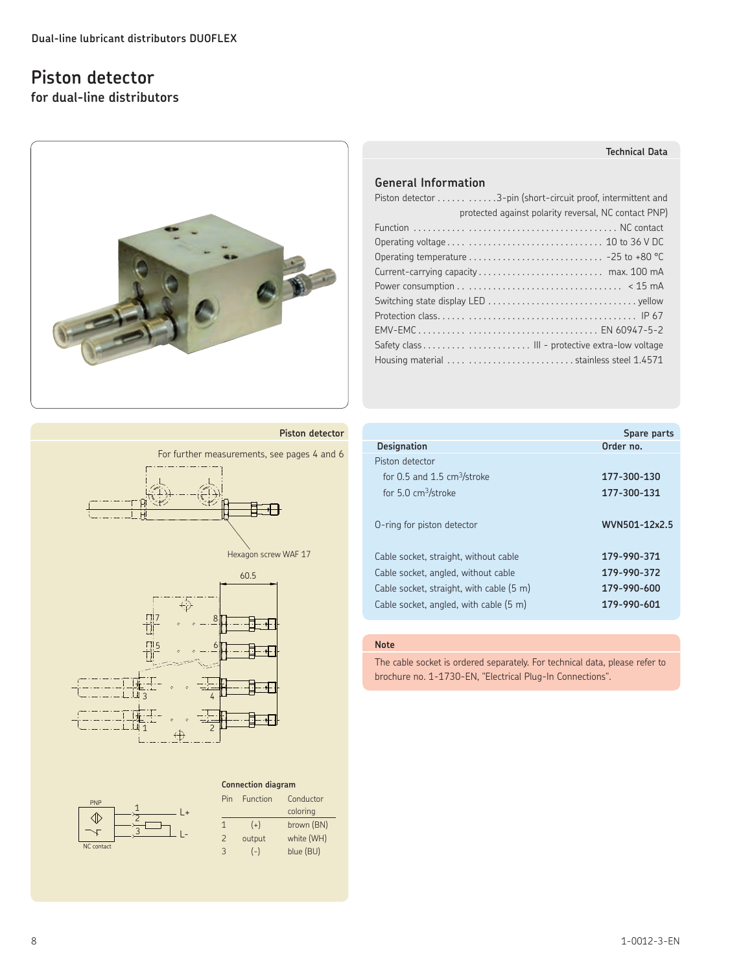### **Piston detector**

**for dual-line distributors**



### **Piston detector**





| Pin                      | Function<br>Conductor |            |
|--------------------------|-----------------------|------------|
|                          |                       | coloring   |
| 1                        | $(+)$                 | brown (BN) |
| $\overline{\phantom{0}}$ | output                | white (WH) |
| 3                        | $(-)$                 | blue (BU)  |

### **General Information**

| Piston detector 3-pin (short-circuit proof, intermittent and |
|--------------------------------------------------------------|
| protected against polarity reversal, NC contact PNP)         |
|                                                              |
|                                                              |
|                                                              |
|                                                              |
|                                                              |
|                                                              |
|                                                              |
|                                                              |
|                                                              |
| Housing material   stainless steel 1.4571                    |

|                                          | Spare parts   |
|------------------------------------------|---------------|
| <b>Designation</b>                       | Order no.     |
| Piston detector                          |               |
| for 0.5 and 1.5 $cm3/stroke$             | 177-300-130   |
| for $5.0 \text{ cm}^3/\text{stroke}$     | 177-300-131   |
| O-ring for piston detector               | WVN501-12x2.5 |
| Cable socket, straight, without cable    | 179-990-371   |
| Cable socket, angled, without cable      | 179-990-372   |
| Cable socket, straight, with cable (5 m) | 179-990-600   |
| Cable socket, angled, with cable (5 m)   | 179-990-601   |

### **Note**

The cable socket is ordered separately. For technical data, please refer to brochure no. 1-1730-EN, "Electrical Plug-In Connections".

### **Technical Data**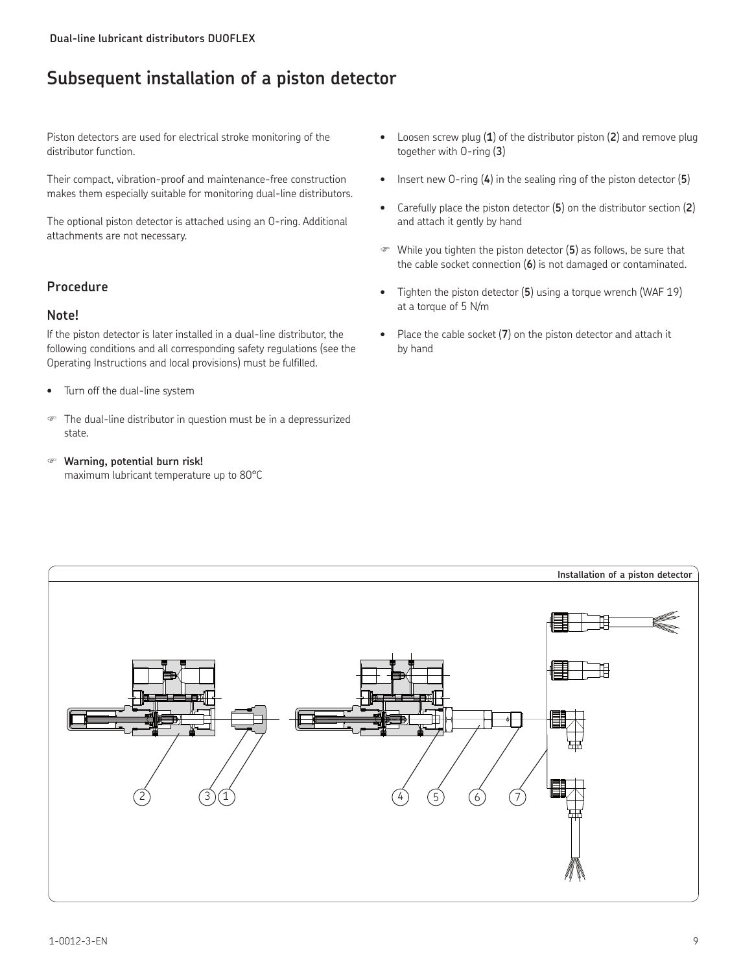# **Subsequent installation of a piston detector**

Piston detectors are used for electrical stroke monitoring of the distributor function.

Their compact, vibration-proof and maintenance-free construction makes them especially suitable for monitoring dual-line distributors.

The optional piston detector is attached using an O-ring. Additional attachments are not necessary.

### **Procedure**

### **Note!**

If the piston detector is later installed in a dual-line distributor, the following conditions and all corresponding safety regulations (see the Operating Instructions and local provisions) must be fulfilled.

- Turn off the dual-line system
- The dual-line distributor in question must be in a depressurized state.
- **Warning, potential burn risk!**  maximum lubricant temperature up to 80°C
- • Loosen screw plug (**1**) of the distributor piston (**2**) and remove plug together with O-ring (**3**)
- Insert new O-ring (4) in the sealing ring of the piston detector (5)
- • Carefully place the piston detector (**5**) on the distributor section (**2**) and attach it gently by hand
- While you tighten the piston detector (**5**) as follows, be sure that the cable socket connection (**6**) is not damaged or contaminated.
- • Tighten the piston detector (**5**) using a torque wrench (WAF 19) at a torque of 5 N/m
- Place the cable socket (7) on the piston detector and attach it by hand

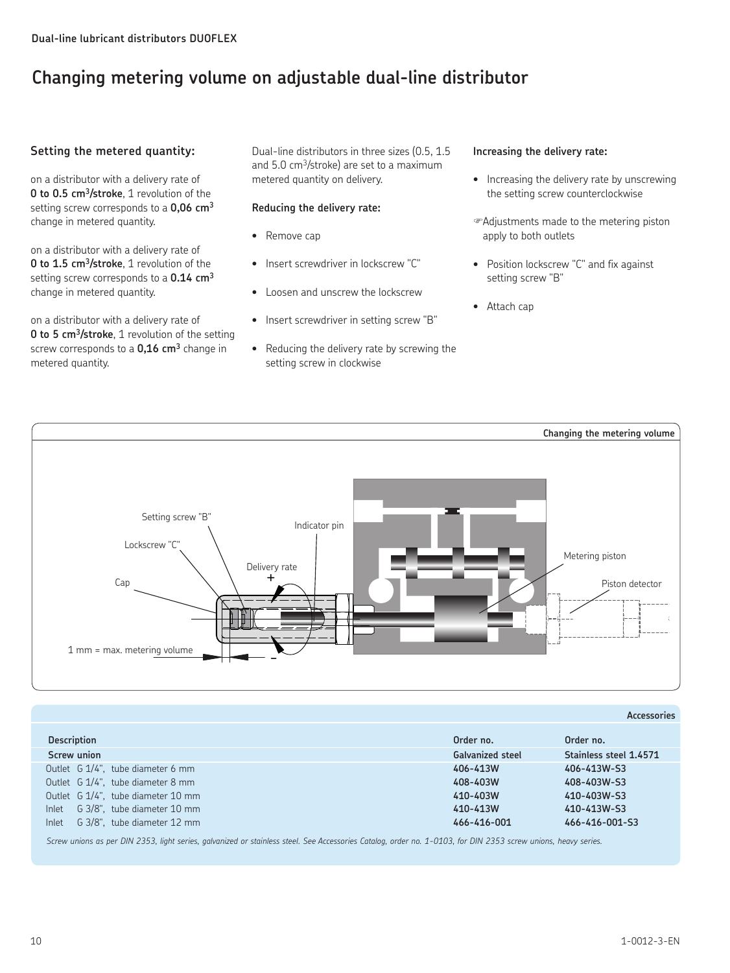# **Changing metering volume on adjustable dual-line distributor**

### **Setting the metered quantity:**

on a distributor with a delivery rate of **0 to 0.5 cm<sup>3</sup>/stroke**, 1 revolution of the setting screw corresponds to a **0,06 cm3** change in metered quantity.

on a distributor with a delivery rate of **0 to 1.5 cm<sup>3</sup>/stroke**, 1 revolution of the setting screw corresponds to a **0.14 cm3** change in metered quantity.

on a distributor with a delivery rate of **0 to 5 cm<sup>3</sup>/stroke**, 1 revolution of the setting screw corresponds to a **0,16 cm3** change in metered quantity.

Dual-line distributors in three sizes (0.5, 1.5 and 5.0 cm3/stroke) are set to a maximum metered quantity on delivery.

### **Reducing the delivery rate:**

- Remove cap
- Insert screwdriver in lockscrew "C"
- Loosen and unscrew the lockscrew
- Insert screwdriver in setting screw "B"
- • Reducing the delivery rate by screwing the setting screw in clockwise

### **Increasing the delivery rate:**

- Increasing the delivery rate by unscrewing the setting screw counterclockwise
- Adjustments made to the metering piston apply to both outlets
- • Position lockscrew "C" and fix against setting screw "B"
- Attach cap



#### **Accessories**

| <b>Description</b>                   | Order no.               | Order no.              |
|--------------------------------------|-------------------------|------------------------|
| Screw union                          | <b>Galvanized steel</b> | Stainless steel 1.4571 |
| Outlet G 1/4", tube diameter 6 mm    | 406-413W                | 406-413W-S3            |
| Outlet G 1/4", tube diameter 8 mm    | 408-403W                | 408-403W-S3            |
| Outlet G 1/4", tube diameter 10 mm   | 410-403W                | 410-403W-S3            |
| G 3/8", tube diameter 10 mm<br>Inlet | 410-413W                | 410-413W-S3            |
| G 3/8", tube diameter 12 mm<br>Inlet | 466-416-001             | 466-416-001-S3         |

*Screw unions as per DIN 2353, light series, galvanized or stainless steel. See Accessories Catalog, order no. 1-0103, for DIN 2353 screw unions, heavy series.*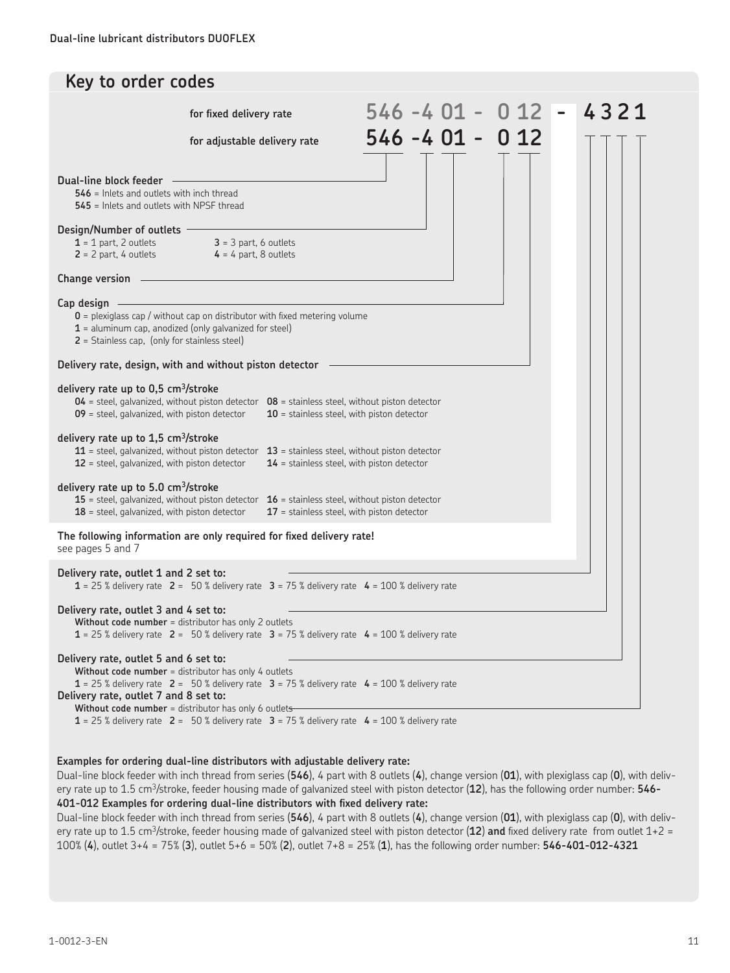| Key to order codes                                                                                                                                                                                                                                                                                                                    |                                                                                                                                                                                                                      |                                              |  |                   |      |
|---------------------------------------------------------------------------------------------------------------------------------------------------------------------------------------------------------------------------------------------------------------------------------------------------------------------------------------|----------------------------------------------------------------------------------------------------------------------------------------------------------------------------------------------------------------------|----------------------------------------------|--|-------------------|------|
|                                                                                                                                                                                                                                                                                                                                       | for fixed delivery rate                                                                                                                                                                                              |                                              |  | 546 -4 01 - 0 12  | 4321 |
|                                                                                                                                                                                                                                                                                                                                       | for adjustable delivery rate                                                                                                                                                                                         |                                              |  | $546 - 401 - 012$ |      |
| Dual-line block feeder <b>Constanting Constanting Constanting Constanting Constanting Constanting Constanting Constanting Constanting Constanting Constanting Constanting Constanting Constanting Constanting Constanting Consta</b><br><b>546</b> = Inlets and outlets with inch thread<br>545 = Inlets and outlets with NPSF thread |                                                                                                                                                                                                                      |                                              |  |                   |      |
| Design/Number of outlets                                                                                                                                                                                                                                                                                                              | $1 = 1$ part, 2 outlets $3 = 3$ part, 6 outlets<br>$2 = 2$ part, 4 outlets $4 = 4$ part, 8 outlets                                                                                                                   |                                              |  |                   |      |
| Change version                                                                                                                                                                                                                                                                                                                        |                                                                                                                                                                                                                      |                                              |  |                   |      |
| $Cap$ design $-$<br>2 = Stainless cap, (only for stainless steel)                                                                                                                                                                                                                                                                     | $0$ = plexiglass cap / without cap on distributor with fixed metering volume<br>$1 =$ aluminum cap, anodized (only galvanized for steel)                                                                             |                                              |  |                   |      |
|                                                                                                                                                                                                                                                                                                                                       | Delivery rate, design, with and without piston detector                                                                                                                                                              |                                              |  |                   |      |
| delivery rate up to $0.5 \text{ cm}^3/\text{stroke}$<br>09 = steel, galvanized, with piston detector                                                                                                                                                                                                                                  | $04$ = steel, galvanized, without piston detector $08$ = stainless steel, without piston detector                                                                                                                    | $10$ = stainless steel, with piston detector |  |                   |      |
| delivery rate up to 1,5 cm <sup>3</sup> /stroke<br>$12$ = steel, galvanized, with piston detector                                                                                                                                                                                                                                     | $11$ = steel, galvanized, without piston detector $13$ = stainless steel, without piston detector                                                                                                                    | $14$ = stainless steel, with piston detector |  |                   |      |
| delivery rate up to 5.0 cm <sup>3</sup> /stroke<br>$18$ = steel, galvanized, with piston detector                                                                                                                                                                                                                                     | 15 = steel, galvanized, without piston detector $16$ = stainless steel, without piston detector                                                                                                                      | $17$ = stainless steel, with piston detector |  |                   |      |
| see pages 5 and 7                                                                                                                                                                                                                                                                                                                     | The following information are only required for fixed delivery rate!                                                                                                                                                 |                                              |  |                   |      |
| Delivery rate, outlet 1 and 2 set to:                                                                                                                                                                                                                                                                                                 | 1 = 25 % delivery rate 2 = 50 % delivery rate 3 = 75 % delivery rate 4 = 100 % delivery rate                                                                                                                         |                                              |  |                   |      |
| Delivery rate, outlet 3 and 4 set to:                                                                                                                                                                                                                                                                                                 | Without code number = distributor has only 2 outlets<br>$1 = 25$ % delivery rate $2 = 50$ % delivery rate $3 = 75$ % delivery rate $4 = 100$ % delivery rate                                                         |                                              |  |                   |      |
| Delivery rate, outlet 5 and 6 set to:<br>Delivery rate, outlet 7 and 8 set to:                                                                                                                                                                                                                                                        | Without code number = distributor has only 4 outlets<br>$1 = 25$ % delivery rate $2 = 50$ % delivery rate $3 = 75$ % delivery rate $4 = 100$ % delivery rate<br>Without code number = distributor has only 6 outlets |                                              |  |                   |      |
|                                                                                                                                                                                                                                                                                                                                       | $1 = 25$ % delivery rate $2 = 50$ % delivery rate $3 = 75$ % delivery rate $4 = 100$ % delivery rate                                                                                                                 |                                              |  |                   |      |

### **Examples for ordering dual-line distributors with adjustable delivery rate:**

Dual-line block feeder with inch thread from series (**546**), 4 part with 8 outlets (**4**), change version (**01**), with plexiglass cap (**0**), with delivery rate up to 1.5 cm3/stroke, feeder housing made of galvanized steel with piston detector (**12**), has the following order number: **546- 401-012 Examples for ordering dual-line distributors with fixed delivery rate:**

Dual-line block feeder with inch thread from series (**546**), 4 part with 8 outlets (**4**), change version (**01**), with plexiglass cap (**0**), with delivery rate up to 1.5 cm3/stroke, feeder housing made of galvanized steel with piston detector (**12**) **and** fixed delivery rate from outlet 1+2 = 100% (**4**), outlet 3+4 = 75% (**3**), outlet 5+6 = 50% (**2**), outlet 7+8 = 25% (**1**), has the following order number: **546-401-012-4321**